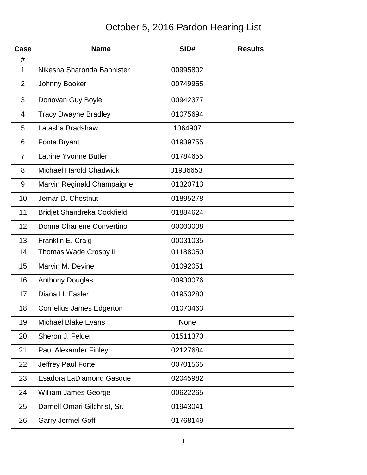## October 5, 2016 Pardon Hearing List

| Case             | <b>Name</b>                        | SID#        | <b>Results</b> |
|------------------|------------------------------------|-------------|----------------|
| #<br>$\mathbf 1$ | Nikesha Sharonda Bannister         | 00995802    |                |
| $\overline{2}$   | Johnny Booker                      | 00749955    |                |
| 3                | Donovan Guy Boyle                  | 00942377    |                |
| 4                | <b>Tracy Dwayne Bradley</b>        | 01075694    |                |
| 5                | Latasha Bradshaw                   | 1364907     |                |
| 6                | Fonta Bryant                       | 01939755    |                |
| $\overline{7}$   | <b>Latrine Yvonne Butler</b>       | 01784655    |                |
| 8                | <b>Michael Harold Chadwick</b>     | 01936653    |                |
| 9                | Marvin Reginald Champaigne         | 01320713    |                |
| 10               | Jemar D. Chestnut                  | 01895278    |                |
| 11               | <b>Bridjet Shandreka Cockfield</b> | 01884624    |                |
| 12               | Donna Charlene Convertino          | 00003008    |                |
| 13               | Franklin E. Craig                  | 00031035    |                |
| 14               | <b>Thomas Wade Crosby II</b>       | 01188050    |                |
| 15               | Marvin M. Devine                   | 01092051    |                |
| 16               | <b>Anthony Douglas</b>             | 00930076    |                |
| 17               | Diana H. Easler                    | 01953280    |                |
| 18               | <b>Cornelius James Edgerton</b>    | 01073463    |                |
| 19               | <b>Michael Blake Evans</b>         | <b>None</b> |                |
| 20               | Sheron J. Felder                   | 01511370    |                |
| 21               | <b>Paul Alexander Finley</b>       | 02127684    |                |
| 22               | Jeffrey Paul Forte                 | 00701565    |                |
| 23               | <b>Esadora LaDiamond Gasque</b>    | 02045982    |                |
| 24               | <b>William James George</b>        | 00622265    |                |
| 25               | Darnell Omari Gilchrist, Sr.       | 01943041    |                |
| 26               | <b>Garry Jermel Goff</b>           | 01768149    |                |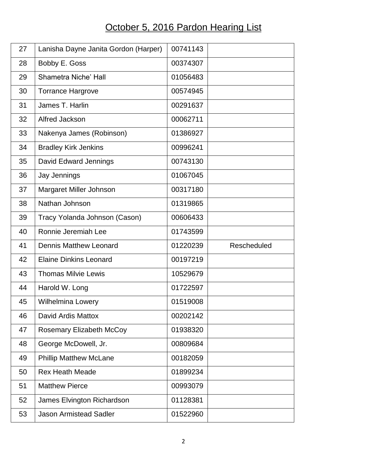## October 5, 2016 Pardon Hearing List

| 27 | Lanisha Dayne Janita Gordon (Harper) | 00741143 |             |
|----|--------------------------------------|----------|-------------|
| 28 | Bobby E. Goss                        | 00374307 |             |
| 29 | Shametra Niche' Hall                 | 01056483 |             |
| 30 | <b>Torrance Hargrove</b>             | 00574945 |             |
| 31 | James T. Harlin                      | 00291637 |             |
| 32 | Alfred Jackson                       | 00062711 |             |
| 33 | Nakenya James (Robinson)             | 01386927 |             |
| 34 | <b>Bradley Kirk Jenkins</b>          | 00996241 |             |
| 35 | David Edward Jennings                | 00743130 |             |
| 36 | Jay Jennings                         | 01067045 |             |
| 37 | Margaret Miller Johnson              | 00317180 |             |
| 38 | Nathan Johnson                       | 01319865 |             |
| 39 | Tracy Yolanda Johnson (Cason)        | 00606433 |             |
| 40 | Ronnie Jeremiah Lee                  | 01743599 |             |
|    |                                      |          |             |
| 41 | <b>Dennis Matthew Leonard</b>        | 01220239 | Rescheduled |
| 42 | <b>Elaine Dinkins Leonard</b>        | 00197219 |             |
| 43 | <b>Thomas Milvie Lewis</b>           | 10529679 |             |
| 44 | Harold W. Long                       | 01722597 |             |
| 45 | <b>Wilhelmina Lowery</b>             | 01519008 |             |
| 46 | David Ardis Mattox                   | 00202142 |             |
| 47 | <b>Rosemary Elizabeth McCoy</b>      | 01938320 |             |
| 48 | George McDowell, Jr.                 | 00809684 |             |
| 49 | <b>Phillip Matthew McLane</b>        | 00182059 |             |
| 50 | <b>Rex Heath Meade</b>               | 01899234 |             |
| 51 | <b>Matthew Pierce</b>                | 00993079 |             |
| 52 | James Elvington Richardson           | 01128381 |             |